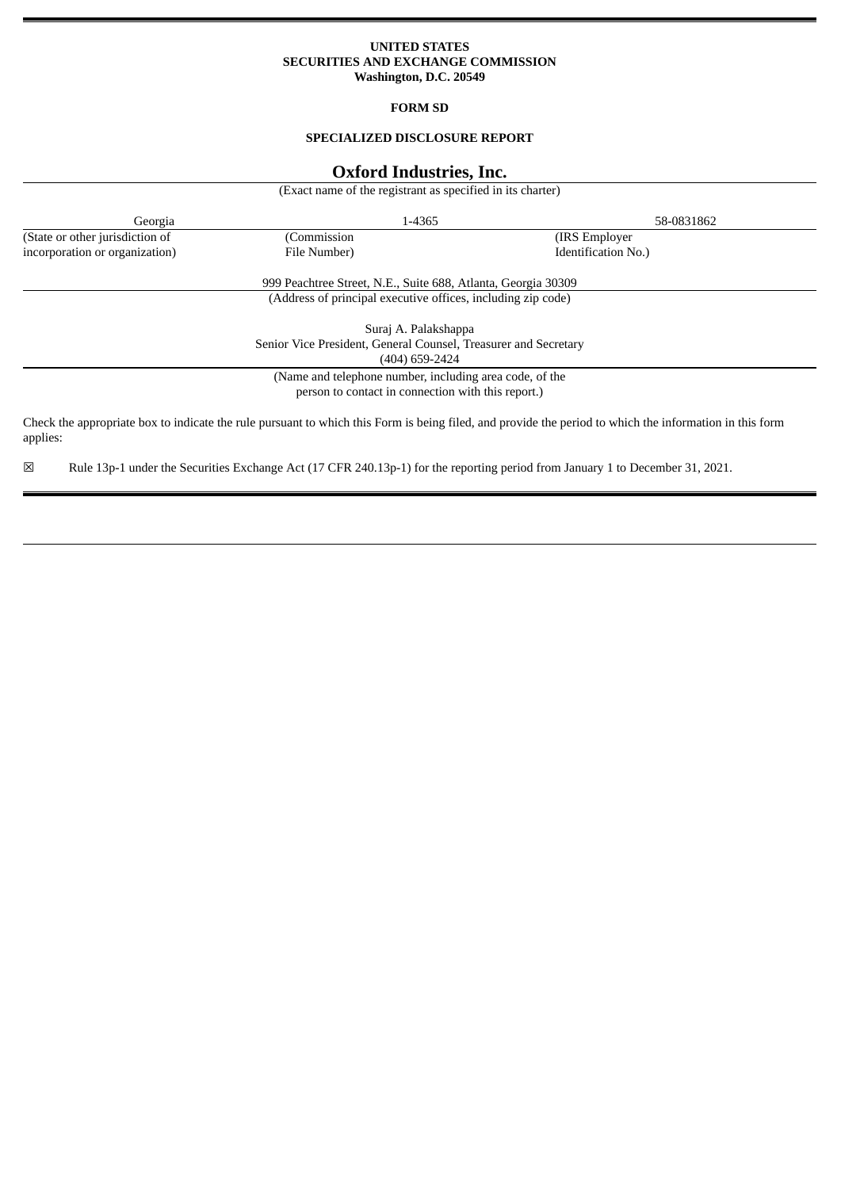### **UNITED STATES SECURITIES AND EXCHANGE COMMISSION Washington, D.C. 20549**

## **FORM SD**

# **SPECIALIZED DISCLOSURE REPORT**

# **Oxford Industries, Inc.**

(Exact name of the registrant as specified in its charter)

| Georgia                                                         | 1-4365                                                        |                                                                                                                                                         | 58-0831862 |
|-----------------------------------------------------------------|---------------------------------------------------------------|---------------------------------------------------------------------------------------------------------------------------------------------------------|------------|
| (State or other jurisdiction of                                 | (Commission                                                   | (IRS Employer)                                                                                                                                          |            |
| incorporation or organization)                                  | File Number)                                                  | Identification No.)                                                                                                                                     |            |
|                                                                 | 999 Peachtree Street, N.E., Suite 688, Atlanta, Georgia 30309 |                                                                                                                                                         |            |
|                                                                 | (Address of principal executive offices, including zip code)  |                                                                                                                                                         |            |
| Suraj A. Palakshappa                                            |                                                               |                                                                                                                                                         |            |
| Senior Vice President, General Counsel, Treasurer and Secretary |                                                               |                                                                                                                                                         |            |
| (404) 659-2424                                                  |                                                               |                                                                                                                                                         |            |
| (Name and telephone number, including area code, of the         |                                                               |                                                                                                                                                         |            |
|                                                                 | person to contact in connection with this report.)            |                                                                                                                                                         |            |
| applies:                                                        |                                                               | Check the appropriate box to indicate the rule pursuant to which this Form is being filed, and provide the period to which the information in this form |            |

☒ Rule 13p-1 under the Securities Exchange Act (17 CFR 240.13p-1) for the reporting period from January 1 to December 31, 2021.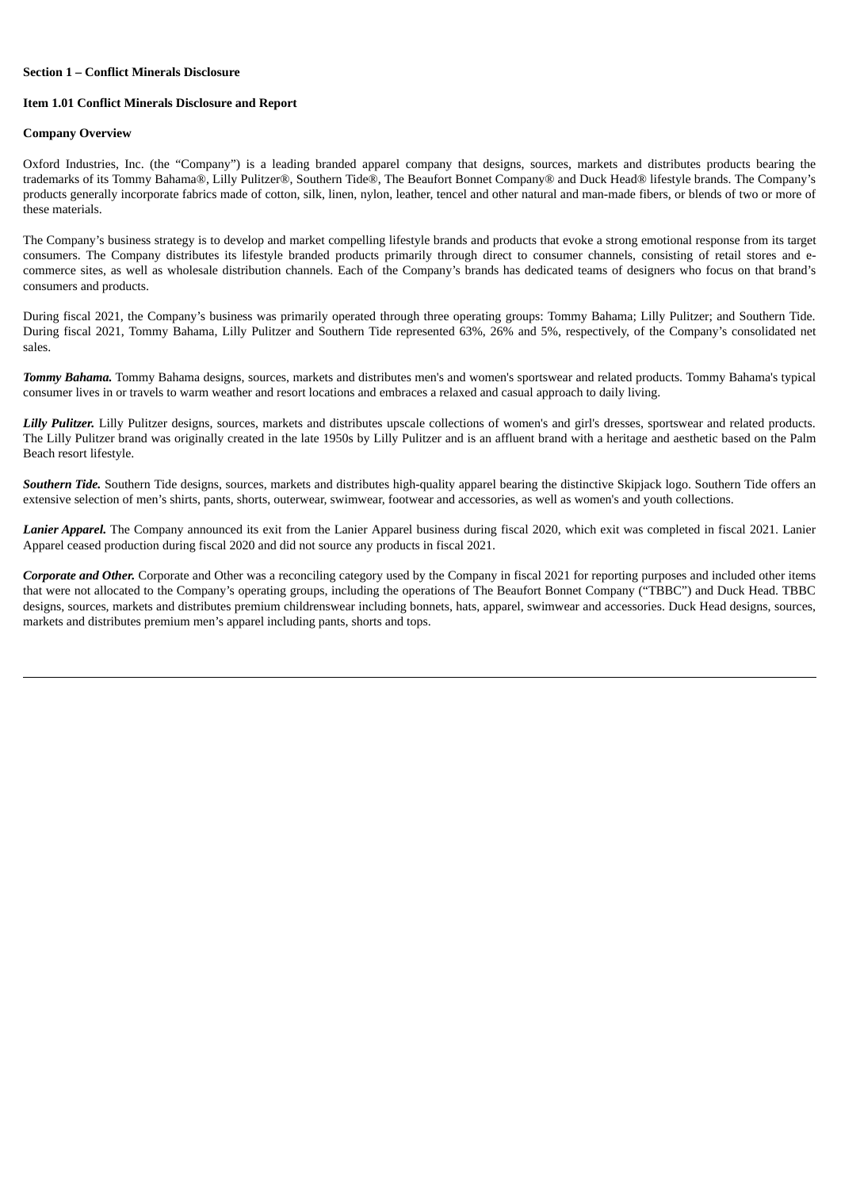#### **Section 1 – Conflict Minerals Disclosure**

#### **Item 1.01 Conflict Minerals Disclosure and Report**

#### **Company Overview**

Oxford Industries, Inc. (the "Company") is a leading branded apparel company that designs, sources, markets and distributes products bearing the trademarks of its Tommy Bahama®, Lilly Pulitzer®, Southern Tide®, The Beaufort Bonnet Company® and Duck Head® lifestyle brands. The Company's products generally incorporate fabrics made of cotton, silk, linen, nylon, leather, tencel and other natural and man-made fibers, or blends of two or more of these materials.

The Company's business strategy is to develop and market compelling lifestyle brands and products that evoke a strong emotional response from its target consumers. The Company distributes its lifestyle branded products primarily through direct to consumer channels, consisting of retail stores and ecommerce sites, as well as wholesale distribution channels. Each of the Company's brands has dedicated teams of designers who focus on that brand's consumers and products.

During fiscal 2021, the Company's business was primarily operated through three operating groups: Tommy Bahama; Lilly Pulitzer; and Southern Tide. During fiscal 2021, Tommy Bahama, Lilly Pulitzer and Southern Tide represented 63%, 26% and 5%, respectively, of the Company's consolidated net sales.

*Tommy Bahama.* Tommy Bahama designs, sources, markets and distributes men's and women's sportswear and related products. Tommy Bahama's typical consumer lives in or travels to warm weather and resort locations and embraces a relaxed and casual approach to daily living.

*Lilly Pulitzer.* Lilly Pulitzer designs, sources, markets and distributes upscale collections of women's and girl's dresses, sportswear and related products. The Lilly Pulitzer brand was originally created in the late 1950s by Lilly Pulitzer and is an affluent brand with a heritage and aesthetic based on the Palm Beach resort lifestyle.

*Southern Tide.* Southern Tide designs, sources, markets and distributes high-quality apparel bearing the distinctive Skipjack logo. Southern Tide offers an extensive selection of men's shirts, pants, shorts, outerwear, swimwear, footwear and accessories, as well as women's and youth collections.

*Lanier Apparel.* The Company announced its exit from the Lanier Apparel business during fiscal 2020, which exit was completed in fiscal 2021. Lanier Apparel ceased production during fiscal 2020 and did not source any products in fiscal 2021.

*Corporate and Other.* Corporate and Other was a reconciling category used by the Company in fiscal 2021 for reporting purposes and included other items that were not allocated to the Company's operating groups, including the operations of The Beaufort Bonnet Company ("TBBC") and Duck Head. TBBC designs, sources, markets and distributes premium childrenswear including bonnets, hats, apparel, swimwear and accessories. Duck Head designs, sources, markets and distributes premium men's apparel including pants, shorts and tops.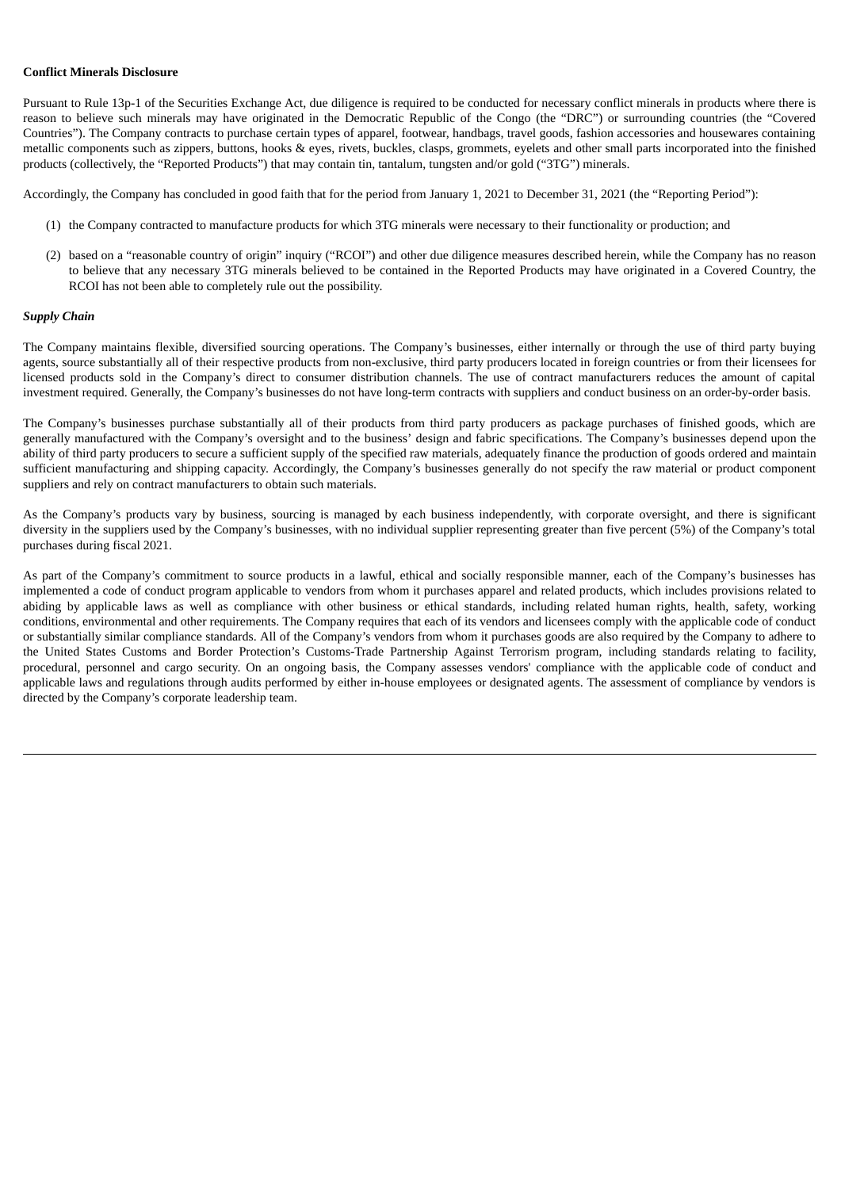### **Conflict Minerals Disclosure**

Pursuant to Rule 13p-1 of the Securities Exchange Act, due diligence is required to be conducted for necessary conflict minerals in products where there is reason to believe such minerals may have originated in the Democratic Republic of the Congo (the "DRC") or surrounding countries (the "Covered Countries"). The Company contracts to purchase certain types of apparel, footwear, handbags, travel goods, fashion accessories and housewares containing metallic components such as zippers, buttons, hooks & eyes, rivets, buckles, clasps, grommets, eyelets and other small parts incorporated into the finished products (collectively, the "Reported Products") that may contain tin, tantalum, tungsten and/or gold ("3TG") minerals.

Accordingly, the Company has concluded in good faith that for the period from January 1, 2021 to December 31, 2021 (the "Reporting Period"):

- (1) the Company contracted to manufacture products for which 3TG minerals were necessary to their functionality or production; and
- (2) based on a "reasonable country of origin" inquiry ("RCOI") and other due diligence measures described herein, while the Company has no reason to believe that any necessary 3TG minerals believed to be contained in the Reported Products may have originated in a Covered Country, the RCOI has not been able to completely rule out the possibility.

### *Supply Chain*

The Company maintains flexible, diversified sourcing operations. The Company's businesses, either internally or through the use of third party buying agents, source substantially all of their respective products from non-exclusive, third party producers located in foreign countries or from their licensees for licensed products sold in the Company's direct to consumer distribution channels. The use of contract manufacturers reduces the amount of capital investment required. Generally, the Company's businesses do not have long-term contracts with suppliers and conduct business on an order-by-order basis.

The Company's businesses purchase substantially all of their products from third party producers as package purchases of finished goods, which are generally manufactured with the Company's oversight and to the business' design and fabric specifications. The Company's businesses depend upon the ability of third party producers to secure a sufficient supply of the specified raw materials, adequately finance the production of goods ordered and maintain sufficient manufacturing and shipping capacity. Accordingly, the Company's businesses generally do not specify the raw material or product component suppliers and rely on contract manufacturers to obtain such materials.

As the Company's products vary by business, sourcing is managed by each business independently, with corporate oversight, and there is significant diversity in the suppliers used by the Company's businesses, with no individual supplier representing greater than five percent (5%) of the Company's total purchases during fiscal 2021.

As part of the Company's commitment to source products in a lawful, ethical and socially responsible manner, each of the Company's businesses has implemented a code of conduct program applicable to vendors from whom it purchases apparel and related products, which includes provisions related to abiding by applicable laws as well as compliance with other business or ethical standards, including related human rights, health, safety, working conditions, environmental and other requirements. The Company requires that each of its vendors and licensees comply with the applicable code of conduct or substantially similar compliance standards. All of the Company's vendors from whom it purchases goods are also required by the Company to adhere to the United States Customs and Border Protection's Customs-Trade Partnership Against Terrorism program, including standards relating to facility, procedural, personnel and cargo security. On an ongoing basis, the Company assesses vendors' compliance with the applicable code of conduct and applicable laws and regulations through audits performed by either in-house employees or designated agents. The assessment of compliance by vendors is directed by the Company's corporate leadership team.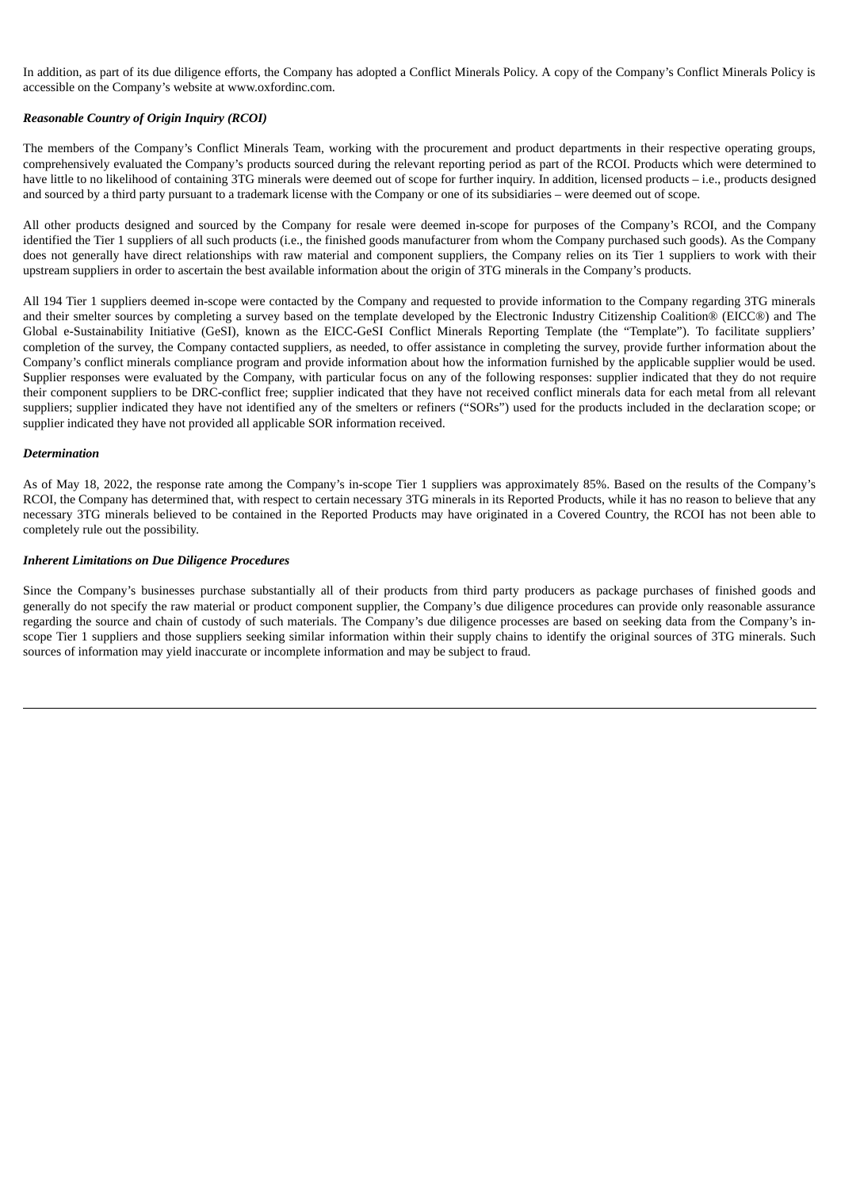In addition, as part of its due diligence efforts, the Company has adopted a Conflict Minerals Policy. A copy of the Company's Conflict Minerals Policy is accessible on the Company's website at www.oxfordinc.com.

### *Reasonable Country of Origin Inquiry (RCOI)*

The members of the Company's Conflict Minerals Team, working with the procurement and product departments in their respective operating groups, comprehensively evaluated the Company's products sourced during the relevant reporting period as part of the RCOI. Products which were determined to have little to no likelihood of containing 3TG minerals were deemed out of scope for further inquiry. In addition, licensed products – i.e., products designed and sourced by a third party pursuant to a trademark license with the Company or one of its subsidiaries – were deemed out of scope.

All other products designed and sourced by the Company for resale were deemed in-scope for purposes of the Company's RCOI, and the Company identified the Tier 1 suppliers of all such products (i.e., the finished goods manufacturer from whom the Company purchased such goods). As the Company does not generally have direct relationships with raw material and component suppliers, the Company relies on its Tier 1 suppliers to work with their upstream suppliers in order to ascertain the best available information about the origin of 3TG minerals in the Company's products.

All 194 Tier 1 suppliers deemed in-scope were contacted by the Company and requested to provide information to the Company regarding 3TG minerals and their smelter sources by completing a survey based on the template developed by the Electronic Industry Citizenship Coalition® (EICC®) and The Global e-Sustainability Initiative (GeSI), known as the EICC-GeSI Conflict Minerals Reporting Template (the "Template"). To facilitate suppliers' completion of the survey, the Company contacted suppliers, as needed, to offer assistance in completing the survey, provide further information about the Company's conflict minerals compliance program and provide information about how the information furnished by the applicable supplier would be used. Supplier responses were evaluated by the Company, with particular focus on any of the following responses: supplier indicated that they do not require their component suppliers to be DRC-conflict free; supplier indicated that they have not received conflict minerals data for each metal from all relevant suppliers; supplier indicated they have not identified any of the smelters or refiners ("SORs") used for the products included in the declaration scope; or supplier indicated they have not provided all applicable SOR information received.

### *Determination*

As of May 18, 2022, the response rate among the Company's in-scope Tier 1 suppliers was approximately 85%. Based on the results of the Company's RCOI, the Company has determined that, with respect to certain necessary 3TG minerals in its Reported Products, while it has no reason to believe that any necessary 3TG minerals believed to be contained in the Reported Products may have originated in a Covered Country, the RCOI has not been able to completely rule out the possibility.

### *Inherent Limitations on Due Diligence Procedures*

Since the Company's businesses purchase substantially all of their products from third party producers as package purchases of finished goods and generally do not specify the raw material or product component supplier, the Company's due diligence procedures can provide only reasonable assurance regarding the source and chain of custody of such materials. The Company's due diligence processes are based on seeking data from the Company's inscope Tier 1 suppliers and those suppliers seeking similar information within their supply chains to identify the original sources of 3TG minerals. Such sources of information may yield inaccurate or incomplete information and may be subject to fraud.